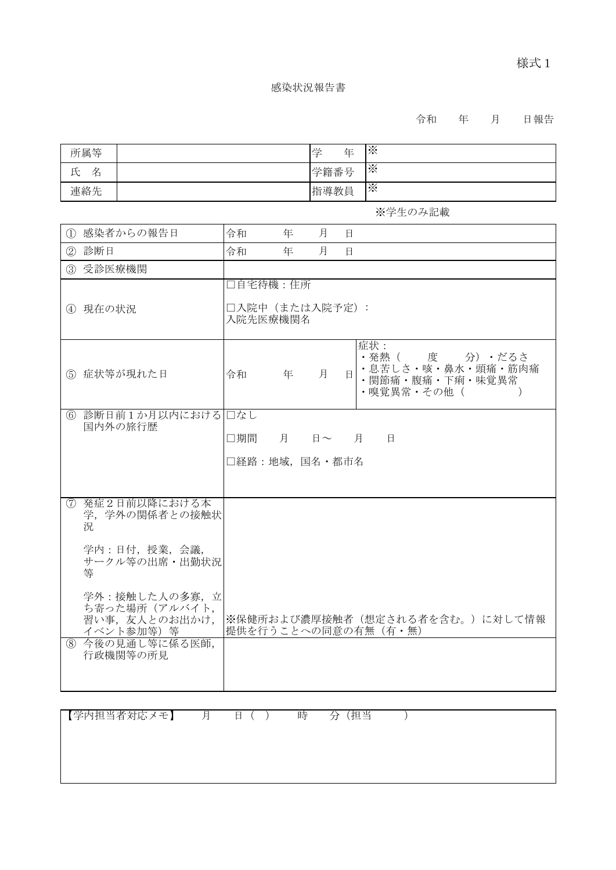感染状況報告書

令和 年 月 日報告

| 所属等         | 学<br>年 | $\cdot$ |
|-------------|--------|---------|
| 千<br>名<br>∽ | 学籍番号   | $\cdot$ |
| 連絡先         | 指導教員   | $\cdot$ |

※学生のみ記載

| ① 感染者からの報告日                                                                                                                                                                | 令和                                      | 年 | 月 | 日 |                                                                              |
|----------------------------------------------------------------------------------------------------------------------------------------------------------------------------|-----------------------------------------|---|---|---|------------------------------------------------------------------------------|
| ② 診断日                                                                                                                                                                      | 令和                                      | 年 | 月 | 日 |                                                                              |
| 3 受診医療機関                                                                                                                                                                   |                                         |   |   |   |                                                                              |
| 4 現在の状況                                                                                                                                                                    | 口自宅待機:住所<br>□入院中 (または入院予定):<br>入院先医療機関名 |   |   |   |                                                                              |
| 5 症状等が現れた日                                                                                                                                                                 | 令和                                      | 年 | 月 | 日 | 症状:<br>・発熱(  度  分)・だるさ<br>・息苦しさ・咳・鼻水・頭痛・筋肉痛<br>・関節痛・腹痛・下痢・味覚異常<br>・嗅覚異常・その他( |
| 6 診断日前1か月以内における口なし<br>国内外の旅行歴                                                                                                                                              | □期間 月 日~ 月<br>口経路:地域, 国名·都市名            |   |   |   | 日                                                                            |
| ⑦ 発症2日前以降における本<br>学、学外の関係者との接触状<br>況<br>学内:日付,授業,会議,<br>サークル等の出席・出勤状況<br>等<br>学外:接触した人の多寡,立<br>ち寄った場所 (アルバイト,<br>習い事,友人とのお出かけ,<br>イベント参加等)等<br>8 今後の見通し等に係る医師,<br>行政機関等の所見 |                                         |   |   |   | ※保健所および濃厚接触者(想定される者を含む。)に対して情報<br>提供を行うことへの同意の有無(有・無)                        |

【学内担当者対応メモ】 月 日 ( ) 時 分 (担当 )